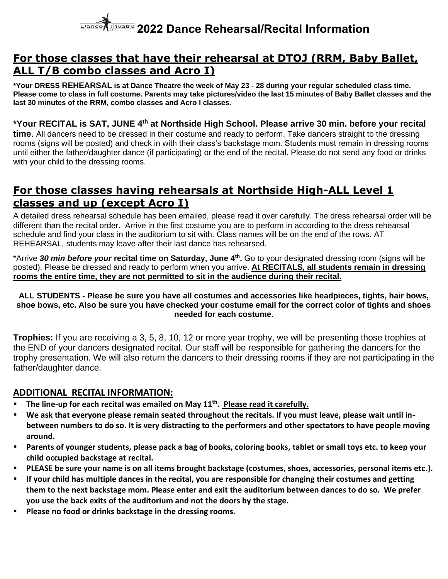## **For those classes that have their rehearsal at DTOJ (RRM, Baby Ballet, ALL T/B combo classes and Acro I)**

**\*Your DRESS REHEARSAL is at Dance Theatre the week of May 23 - 28 during your regular scheduled class time. Please come to class in full costume. Parents may take pictures/video the last 15 minutes of Baby Ballet classes and the last 30 minutes of the RRM, combo classes and Acro I classes.**

#### **\*Your RECITAL is SAT, JUNE 4 th at Northside High School. Please arrive 30 min. before your recital**

**time**. All dancers need to be dressed in their costume and ready to perform. Take dancers straight to the dressing rooms (signs will be posted) and check in with their class's backstage mom. Students must remain in dressing rooms until either the father/daughter dance (if participating) or the end of the recital. Please do not send any food or drinks with your child to the dressing rooms.

# **For those classes having rehearsals at Northside High-ALL Level 1 classes and up (except Acro I)**

A detailed dress rehearsal schedule has been emailed, please read it over carefully. The dress rehearsal order will be different than the recital order. Arrive in the first costume you are to perform in according to the dress rehearsal schedule and find your class in the auditorium to sit with. Class names will be on the end of the rows. AT REHEARSAL, students may leave after their last dance has rehearsed.

\*Arrive 30 min before your recital time on Saturday, June 4<sup>th</sup>. Go to your designated dressing room (signs will be posted). Please be dressed and ready to perform when you arrive. **At RECITALS, all students remain in dressing rooms the entire time, they are not permitted to sit in the audience during their recital.**

#### **ALL STUDENTS - Please be sure you have all costumes and accessories like headpieces, tights, hair bows, shoe bows, etc. Also be sure you have checked your costume email for the correct color of tights and shoes needed for each costume.**

**Trophies:** If you are receiving a 3, 5, 8, 10, 12 or more year trophy, we will be presenting those trophies at the END of your dancers designated recital. Our staff will be responsible for gathering the dancers for the trophy presentation. We will also return the dancers to their dressing rooms if they are not participating in the father/daughter dance.

#### **ADDITIONAL RECITAL INFORMATION:**

- **The line-up for each recital was emailed on May 11th . Please read it carefully.**
- We ask that everyone please remain seated throughout the recitals. If you must leave, please wait until in**between numbers to do so. It is very distracting to the performers and other spectators to have people moving around.**
- **Parents of younger students, please pack a bag of books, coloring books, tablet or small toys etc. to keep your child occupied backstage at recital.**
- **PLEASE be sure your name is on all items brought backstage (costumes, shoes, accessories, personal items etc.).**
- **If your child has multiple dances in the recital, you are responsible for changing their costumes and getting them to the next backstage mom. Please enter and exit the auditorium between dances to do so. We prefer you use the back exits of the auditorium and not the doors by the stage.**
- **Please no food or drinks backstage in the dressing rooms.**